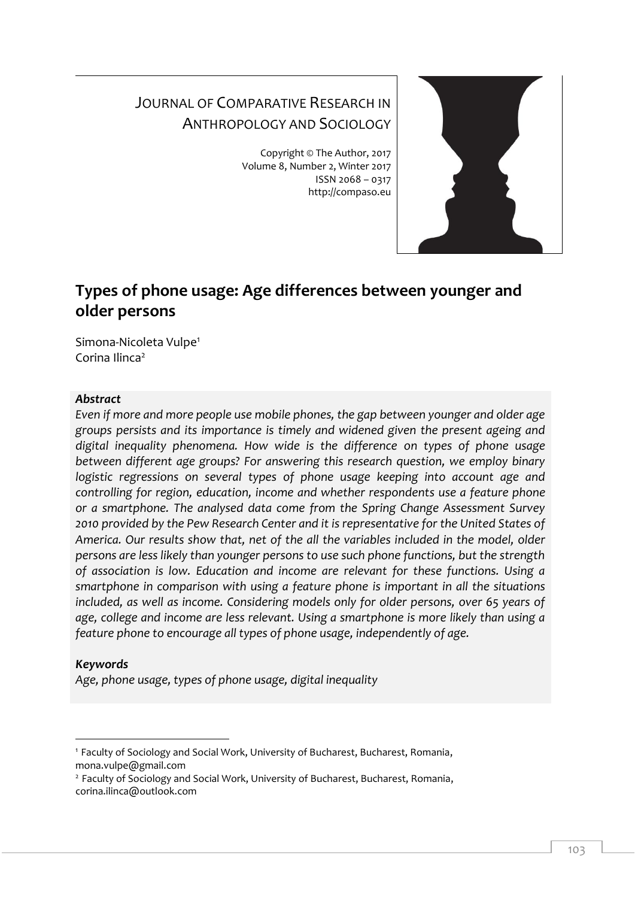# JOURNAL OF COMPARATIVE RESEARCH IN ANTHROPOLOGY AND SOCIOLOGY

Copyright © The Author, 2017 Volume 8, Number 2, Winter 2017 ISSN 2068 – 0317 http://compaso.eu



# **Types of phone usage: Age differences between younger and older persons**

Simona-Nicoleta Vulpe 1 Corina Ilinca<sup>2</sup>

### *Abstract*

*Even if more and more people use mobile phones, the gap between younger and older age groups persists and its importance is timely and widened given the present ageing and digital inequality phenomena. How wide is the difference on types of phone usage between different age groups? For answering this research question, we employ binary logistic regressions on several types of phone usage keeping into account age and controlling for region, education, income and whether respondents use a feature phone or a smartphone. The analysed data come from the Spring Change Assessment Survey 2010 provided by the Pew Research Center and it is representative for the United States of America. Our results show that, net of the all the variables included in the model, older persons are less likely than younger persons to use such phone functions, but the strength of association is low. Education and income are relevant for these functions. Using a smartphone in comparison with using a feature phone is important in all the situations included, as well as income. Considering models only for older persons, over 65 years of age, college and income are less relevant. Using a smartphone is more likely than using a feature phone to encourage all types of phone usage, independently of age.* 

# *Keywords*

-

*Age, phone usage, types of phone usage, digital inequality*

<sup>&</sup>lt;sup>1</sup> Faculty of Sociology and Social Work, University of Bucharest, Bucharest, Romania, mona.vulpe@gmail.com

<sup>2</sup> Faculty of Sociology and Social Work, University of Bucharest, Bucharest, Romania, corina.ilinca@outlook.com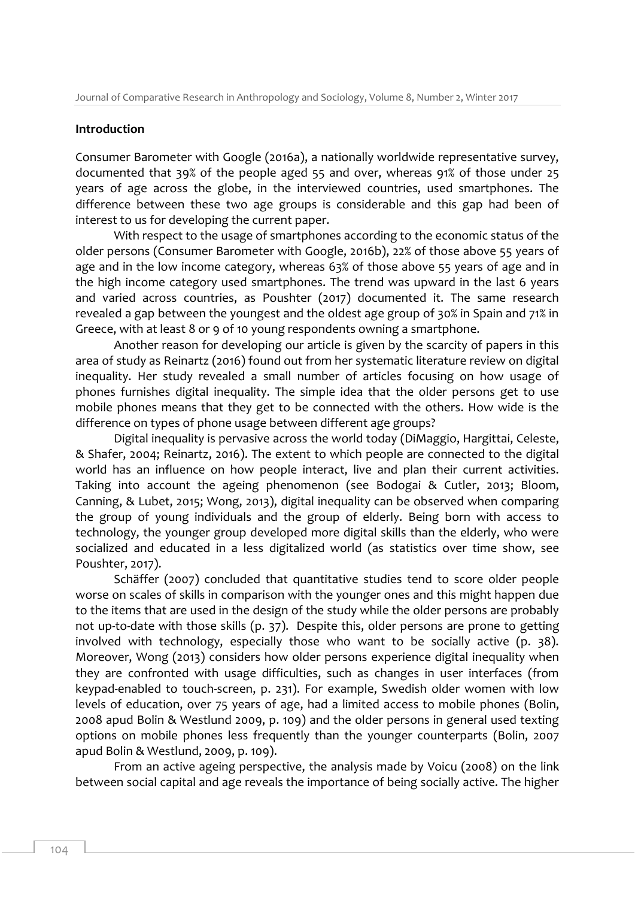#### **Introduction**

Consumer Barometer with Google (2016a), a nationally worldwide representative survey, documented that 39% of the people aged 55 and over, whereas 91% of those under 25 years of age across the globe, in the interviewed countries, used smartphones. The difference between these two age groups is considerable and this gap had been of interest to us for developing the current paper.

With respect to the usage of smartphones according to the economic status of the older persons (Consumer Barometer with Google, 2016b), 22% of those above 55 years of age and in the low income category, whereas 63% of those above 55 years of age and in the high income category used smartphones. The trend was upward in the last 6 years and varied across countries, as Poushter (2017) documented it. The same research revealed a gap between the youngest and the oldest age group of 30% in Spain and 71% in Greece, with at least 8 or 9 of 10 young respondents owning a smartphone.

Another reason for developing our article is given by the scarcity of papers in this area of study as Reinartz (2016) found out from her systematic literature review on digital inequality. Her study revealed a small number of articles focusing on how usage of phones furnishes digital inequality. The simple idea that the older persons get to use mobile phones means that they get to be connected with the others. How wide is the difference on types of phone usage between different age groups?

Digital inequality is pervasive across the world today (DiMaggio, Hargittai, Celeste, & Shafer, 2004; Reinartz, 2016). The extent to which people are connected to the digital world has an influence on how people interact, live and plan their current activities. Taking into account the ageing phenomenon (see Bodogai & Cutler, 2013; Bloom, Canning, & Lubet, 2015; Wong, 2013), digital inequality can be observed when comparing the group of young individuals and the group of elderly. Being born with access to technology, the younger group developed more digital skills than the elderly, who were socialized and educated in a less digitalized world (as statistics over time show, see Poushter, 2017).

Schäffer (2007) concluded that quantitative studies tend to score older people worse on scales of skills in comparison with the younger ones and this might happen due to the items that are used in the design of the study while the older persons are probably not up-to-date with those skills (p. 37). Despite this, older persons are prone to getting involved with technology, especially those who want to be socially active (p. 38). Moreover, Wong (2013) considers how older persons experience digital inequality when they are confronted with usage difficulties, such as changes in user interfaces (from keypad-enabled to touch-screen, p. 231). For example, Swedish older women with low levels of education, over 75 years of age, had a limited access to mobile phones (Bolin, 2008 apud Bolin & Westlund 2009, p. 109) and the older persons in general used texting options on mobile phones less frequently than the younger counterparts (Bolin, 2007 apud Bolin & Westlund, 2009, p. 109).

From an active ageing perspective, the analysis made by Voicu (2008) on the link between social capital and age reveals the importance of being socially active. The higher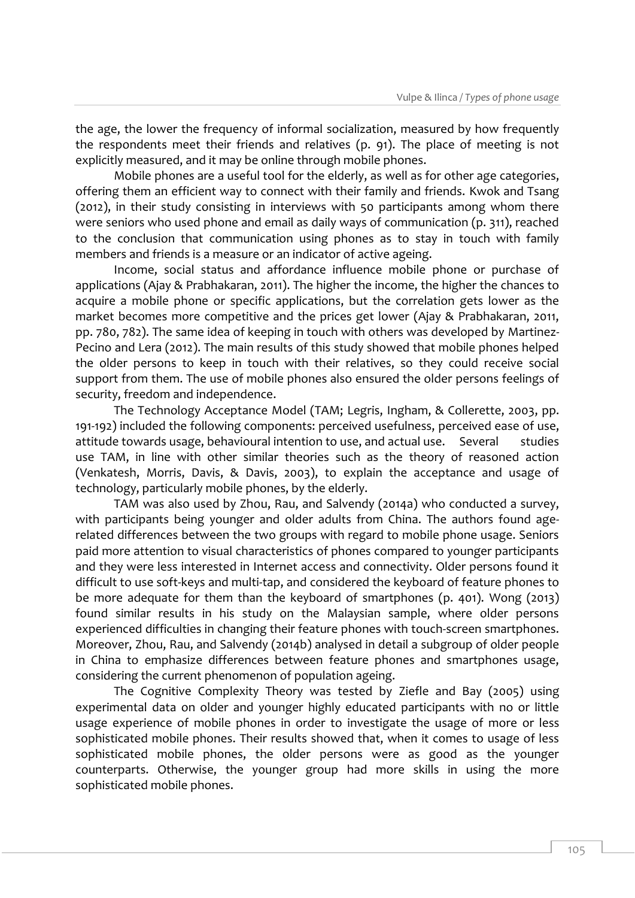the age, the lower the frequency of informal socialization, measured by how frequently the respondents meet their friends and relatives (p. 91). The place of meeting is not explicitly measured, and it may be online through mobile phones.

Mobile phones are a useful tool for the elderly, as well as for other age categories, offering them an efficient way to connect with their family and friends. Kwok and Tsang (2012), in their study consisting in interviews with 50 participants among whom there were seniors who used phone and email as daily ways of communication (p. 311), reached to the conclusion that communication using phones as to stay in touch with family members and friends is a measure or an indicator of active ageing.

Income, social status and affordance influence mobile phone or purchase of applications (Ajay & Prabhakaran, 2011). The higher the income, the higher the chances to acquire a mobile phone or specific applications, but the correlation gets lower as the market becomes more competitive and the prices get lower (Ajay & Prabhakaran, 2011, pp. 780, 782). The same idea of keeping in touch with others was developed by Martinez-Pecino and Lera (2012). The main results of this study showed that mobile phones helped the older persons to keep in touch with their relatives, so they could receive social support from them. The use of mobile phones also ensured the older persons feelings of security, freedom and independence.

The Technology Acceptance Model (TAM; Legris, Ingham, & Collerette, 2003, pp. 191-192) included the following components: perceived usefulness, perceived ease of use, attitude towards usage, behavioural intention to use, and actual use. Several studies use TAM, in line with other similar theories such as the theory of reasoned action (Venkatesh, Morris, Davis, & Davis, 2003), to explain the acceptance and usage of technology, particularly mobile phones, by the elderly.

TAM was also used by Zhou, Rau, and Salvendy (2014a) who conducted a survey, with participants being younger and older adults from China. The authors found agerelated differences between the two groups with regard to mobile phone usage. Seniors paid more attention to visual characteristics of phones compared to younger participants and they were less interested in Internet access and connectivity. Older persons found it difficult to use soft-keys and multi-tap, and considered the keyboard of feature phones to be more adequate for them than the keyboard of smartphones (p. 401). Wong (2013) found similar results in his study on the Malaysian sample, where older persons experienced difficulties in changing their feature phones with touch-screen smartphones. Moreover, Zhou, Rau, and Salvendy (2014b) analysed in detail a subgroup of older people in China to emphasize differences between feature phones and smartphones usage, considering the current phenomenon of population ageing.

The Cognitive Complexity Theory was tested by Ziefle and Bay (2005) using experimental data on older and younger highly educated participants with no or little usage experience of mobile phones in order to investigate the usage of more or less sophisticated mobile phones. Their results showed that, when it comes to usage of less sophisticated mobile phones, the older persons were as good as the younger counterparts. Otherwise, the younger group had more skills in using the more sophisticated mobile phones.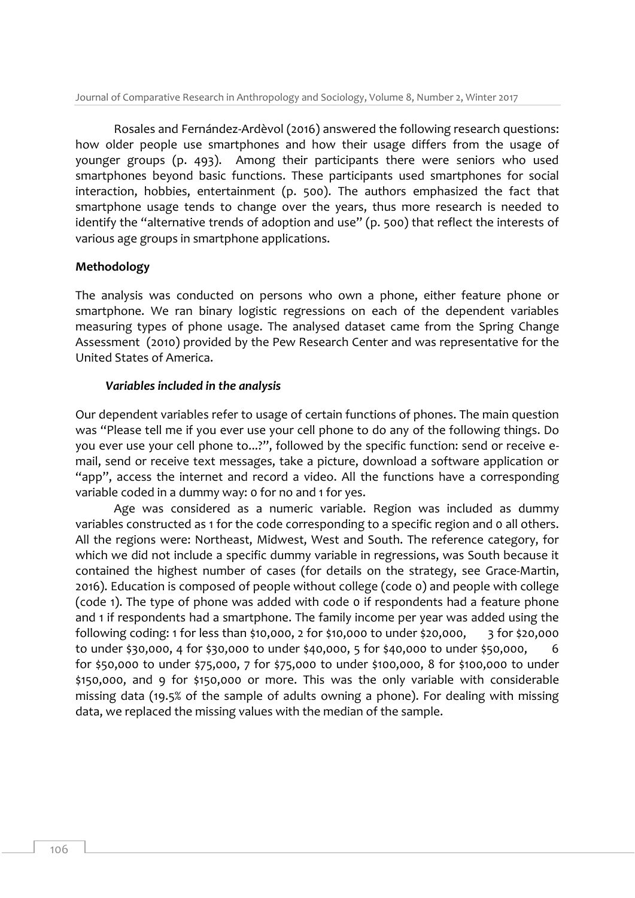Rosales and Fernández-Ardèvol (2016) answered the following research questions: how older people use smartphones and how their usage differs from the usage of younger groups (p. 493). Among their participants there were seniors who used smartphones beyond basic functions. These participants used smartphones for social interaction, hobbies, entertainment (p. 500). The authors emphasized the fact that smartphone usage tends to change over the years, thus more research is needed to identify the "alternative trends of adoption and use" (p. 500) that reflect the interests of various age groups in smartphone applications.

### **Methodology**

The analysis was conducted on persons who own a phone, either feature phone or smartphone. We ran binary logistic regressions on each of the dependent variables measuring types of phone usage. The analysed dataset came from the Spring Change Assessment (2010) provided by the Pew Research Center and was representative for the United States of America.

### *Variables included in the analysis*

Our dependent variables refer to usage of certain functions of phones. The main question was "Please tell me if you ever use your cell phone to do any of the following things. Do you ever use your cell phone to...?", followed by the specific function: send or receive email, send or receive text messages, take a picture, download a software application or "app", access the internet and record a video. All the functions have a corresponding variable coded in a dummy way: 0 for no and 1 for yes.

Age was considered as a numeric variable. Region was included as dummy variables constructed as 1 for the code corresponding to a specific region and 0 all others. All the regions were: Northeast, Midwest, West and South. The reference category, for which we did not include a specific dummy variable in regressions, was South because it contained the highest number of cases (for details on the strategy, see Grace-Martin, 2016). Education is composed of people without college (code 0) and people with college (code 1). The type of phone was added with code 0 if respondents had a feature phone and 1 if respondents had a smartphone. The family income per year was added using the following coding: 1 for less than \$10,000, 2 for \$10,000 to under \$20,000, 3 for \$20,000 to under \$30,000, 4 for \$30,000 to under \$40,000, 5 for \$40,000 to under \$50,000, for \$50,000 to under \$75,000, 7 for \$75,000 to under \$100,000, 8 for \$100,000 to under \$150,000, and 9 for \$150,000 or more. This was the only variable with considerable missing data (19.5% of the sample of adults owning a phone). For dealing with missing data, we replaced the missing values with the median of the sample.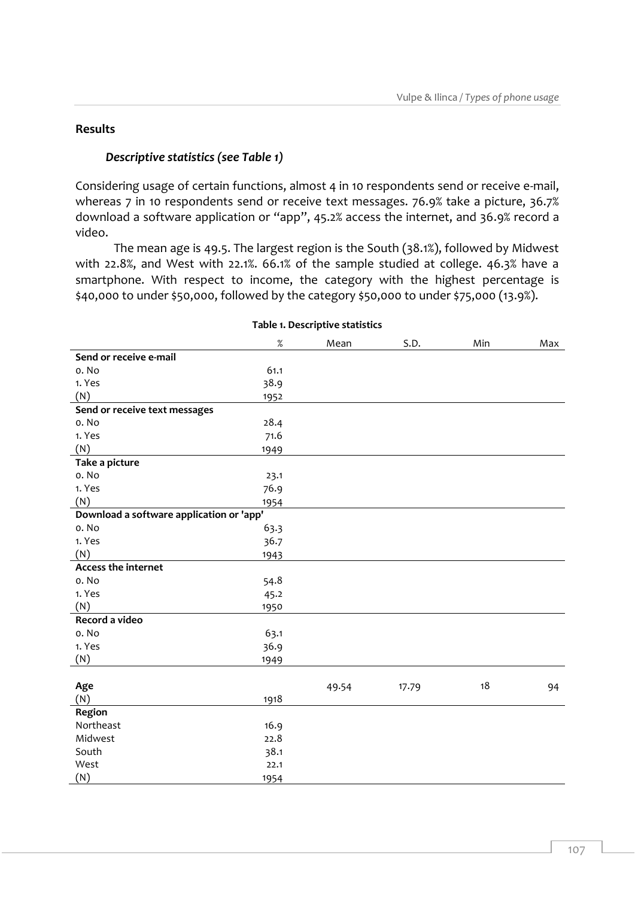## **Results**

# *Descriptive statistics (see Table 1)*

Considering usage of certain functions, almost 4 in 10 respondents send or receive e-mail, whereas 7 in 10 respondents send or receive text messages. 76.9% take a picture, 36.7% download a software application or "app", 45.2% access the internet, and 36.9% record a video.

The mean age is 49.5. The largest region is the South (38.1%), followed by Midwest with 22.8%, and West with 22.1%. 66.1% of the sample studied at college. 46.3% have a smartphone. With respect to income, the category with the highest percentage is \$40,000 to under \$50,000, followed by the category \$50,000 to under \$75,000 (13.9%).

|                                          | $\%$ | Mean  | S.D.  | Min | Max |
|------------------------------------------|------|-------|-------|-----|-----|
| Send or receive e-mail                   |      |       |       |     |     |
| o. No                                    | 61.1 |       |       |     |     |
| 1. Yes                                   | 38.9 |       |       |     |     |
| (N)                                      | 1952 |       |       |     |     |
| Send or receive text messages            |      |       |       |     |     |
| o. No                                    | 28.4 |       |       |     |     |
| 1. Yes                                   | 71.6 |       |       |     |     |
| (N)                                      | 1949 |       |       |     |     |
| Take a picture                           |      |       |       |     |     |
| o. No                                    | 23.1 |       |       |     |     |
| 1. Yes                                   | 76.9 |       |       |     |     |
| (N)                                      | 1954 |       |       |     |     |
| Download a software application or 'app' |      |       |       |     |     |
| o. No                                    | 63.3 |       |       |     |     |
| 1. Yes                                   | 36.7 |       |       |     |     |
| (N)                                      | 1943 |       |       |     |     |
| <b>Access the internet</b>               |      |       |       |     |     |
| o. No                                    | 54.8 |       |       |     |     |
| 1. Yes                                   | 45.2 |       |       |     |     |
| (N)                                      | 1950 |       |       |     |     |
| Record a video                           |      |       |       |     |     |
| o. No                                    | 63.1 |       |       |     |     |
| 1. Yes                                   | 36.9 |       |       |     |     |
| (N)                                      | 1949 |       |       |     |     |
|                                          |      |       |       |     |     |
| Age                                      |      | 49.54 | 17.79 | 18  | 94  |
| (N)                                      | 1918 |       |       |     |     |
| Region                                   |      |       |       |     |     |
| Northeast                                | 16.9 |       |       |     |     |
| Midwest                                  | 22.8 |       |       |     |     |
| South                                    | 38.1 |       |       |     |     |
| West                                     | 22.1 |       |       |     |     |
| (N)                                      | 1954 |       |       |     |     |

#### **Table 1. Descriptive statistics**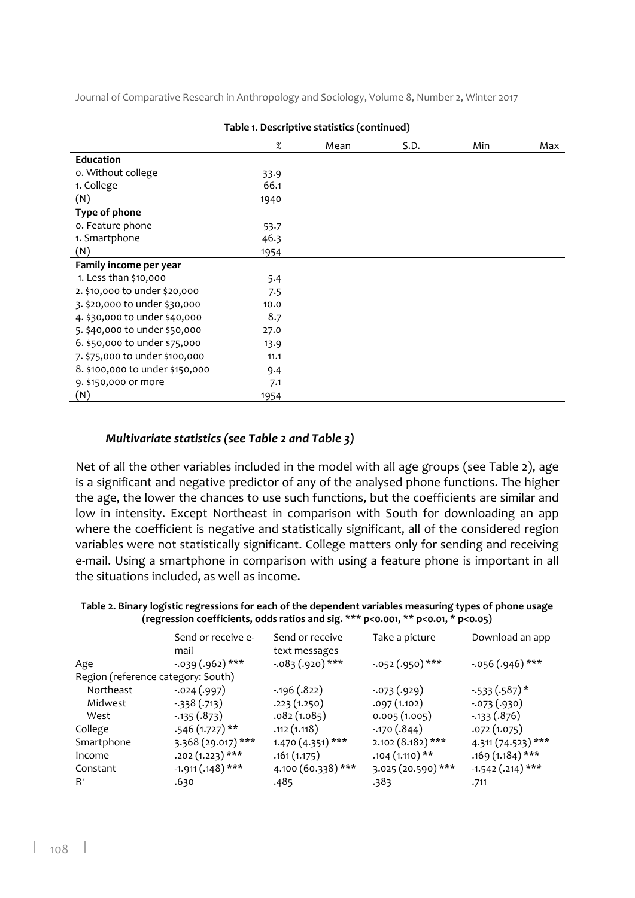|                                 | Table 1. Descriptive statistics (continued) |      |      |     |     |
|---------------------------------|---------------------------------------------|------|------|-----|-----|
|                                 | $\%$                                        | Mean | S.D. | Min | Max |
| <b>Education</b>                |                                             |      |      |     |     |
| o. Without college              | 33.9                                        |      |      |     |     |
| 1. College                      | 66.1                                        |      |      |     |     |
| (N)                             | 1940                                        |      |      |     |     |
| Type of phone                   |                                             |      |      |     |     |
| o. Feature phone                | 53.7                                        |      |      |     |     |
| 1. Smartphone                   | 46.3                                        |      |      |     |     |
| (N)                             | 1954                                        |      |      |     |     |
| Family income per year          |                                             |      |      |     |     |
| 1. Less than \$10,000           | 5.4                                         |      |      |     |     |
| 2. \$10,000 to under \$20,000   | 7.5                                         |      |      |     |     |
| 3. \$20,000 to under \$30,000   | 10.0                                        |      |      |     |     |
| 4. \$30,000 to under \$40,000   | 8.7                                         |      |      |     |     |
| 5. \$40,000 to under \$50,000   | 27.0                                        |      |      |     |     |
| 6. \$50,000 to under \$75,000   | 13.9                                        |      |      |     |     |
| 7. \$75,000 to under \$100,000  | 11.1                                        |      |      |     |     |
| 8. \$100,000 to under \$150,000 | 9.4                                         |      |      |     |     |
| 9. \$150,000 or more            | 7.1                                         |      |      |     |     |
| (N)                             | 1954                                        |      |      |     |     |

Journal of Comparative Research in Anthropology and Sociology, Volume 8, Number 2, Winter 2017

#### *Multivariate statistics (see Table 2 and Table 3)*

Net of all the other variables included in the model with all age groups (see Table 2), age is a significant and negative predictor of any of the analysed phone functions. The higher the age, the lower the chances to use such functions, but the coefficients are similar and low in intensity. Except Northeast in comparison with South for downloading an app where the coefficient is negative and statistically significant, all of the considered region variables were not statistically significant. College matters only for sending and receiving e-mail. Using a smartphone in comparison with using a feature phone is important in all the situations included, as well as income.

| Table 2. Binary logistic regressions for each of the dependent variables measuring types of phone usage |  |
|---------------------------------------------------------------------------------------------------------|--|
| (regression coefficients, odds ratios and sig. *** $p<0.001$ , ** $p<0.01$ , * $p<0.05$ )               |  |

|                                    | Send or receive e-<br>mail | Send or receive<br>text messages | Take a picture     | Download an app    |
|------------------------------------|----------------------------|----------------------------------|--------------------|--------------------|
| Age                                | $-.039(.962)$ ***          | $-.083(.920)$ ***                | $-.052(.950)$ ***  | $-.056(.946)$ ***  |
| Region (reference category: South) |                            |                                  |                    |                    |
| Northeast                          | $-.024(.997)$              | $-0.196(.822)$                   | $-073(0.929)$      | $-533(.587)$ *     |
| Midwest                            | $-338(.713)$               | .223(1.250)                      | .097(1.102)        | $-.073(.930)$      |
| West                               | $-0.135(.873)$             | .082(1.085)                      | 0.005(1.005)       | $-0.133(0.876)$    |
| College                            | $.546(1.727)$ **           | .112(1.118)                      | $-.170(.844)$      | .072 (1.075)       |
| Smartphone                         | 3.368 (29.017) ***         | $1.470(4.351)$ ***               | $2.102(8.182)$ *** | 4.311 (74.523) *** |
| Income                             | $.202(1.223)$ ***          | .161(1.175)                      | $.104(1.110)**$    | $.169(1.184)$ ***  |
| Constant                           | $-1.911(.148)$ ***         | 4.100 (60.338) ***               | 3.025 (20.590) *** | $-1.542(.214)$ *** |
| $R^2$                              | .630                       | .485                             | .383               | .711               |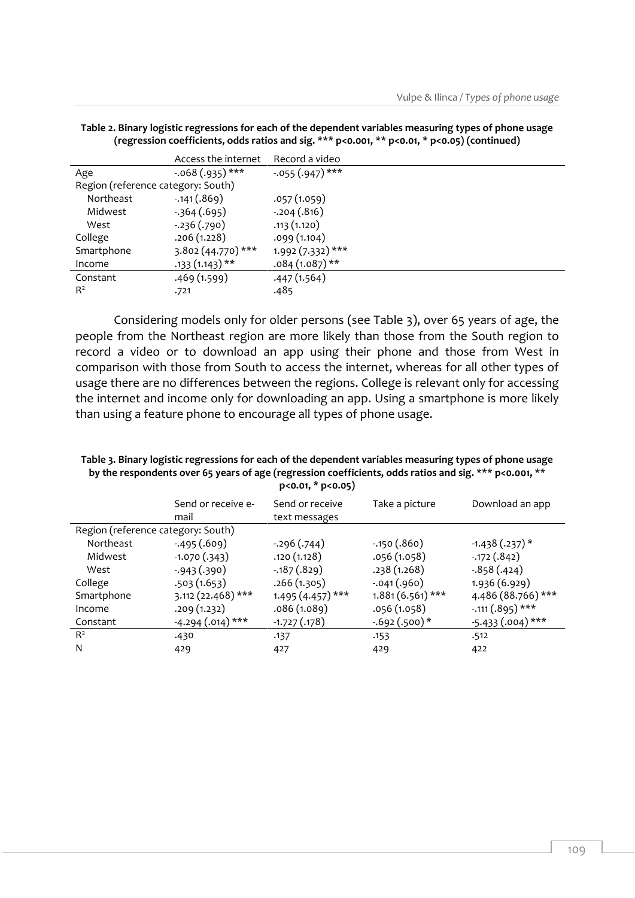|                                    | Access the internet | Record a video    |
|------------------------------------|---------------------|-------------------|
| Age                                | $-.068(.935)$ ***   | $-.055(.947)$ *** |
| Region (reference category: South) |                     |                   |
| Northeast                          | $-.141(.869)$       | .057(1.059)       |
| Midwest                            | $-364(0.695)$       | $-.204(.816)$     |
| West                               | $-.236(.790)$       | .113(1.120)       |
| College                            | .206(1.228)         | .099(1.104)       |
| Smartphone                         | 3.802 (44.770) ***  | 1.992 (7.332) *** |
| Income                             | $.133(1.143)**$     | $.084(1.087)$ **  |
| Constant                           | .469 (1.599)        | .447(1.564)       |
| $R^2$                              | .721                | .485              |

**Table 2. Binary logistic regressions for each of the dependent variables measuring types of phone usage (regression coefficients, odds ratios and sig. \*\*\* p<0.001, \*\* p<0.01, \* p<0.05) (continued)**

Considering models only for older persons (see Table 3), over 65 years of age, the people from the Northeast region are more likely than those from the South region to record a video or to download an app using their phone and those from West in comparison with those from South to access the internet, whereas for all other types of usage there are no differences between the regions. College is relevant only for accessing the internet and income only for downloading an app. Using a smartphone is more likely than using a feature phone to encourage all types of phone usage.

| $p<0.01$ , $* p<0.05$              |                     |                    |                    |                              |
|------------------------------------|---------------------|--------------------|--------------------|------------------------------|
|                                    | Send or receive e-  | Send or receive    | Take a picture     | Download an app              |
|                                    | mail                | text messages      |                    |                              |
| Region (reference category: South) |                     |                    |                    |                              |
| Northeast                          | $-495(.609)$        | $-296(.744)$       | $-.150(.860)$      | $-1.438(.237)$ *             |
| Midwest                            | $-1.070(.343)$      | .120(1.128)        | .056(1.058)        | $-0.172(.842)$               |
| West                               | $-943(.390)$        | $-0.187(.829)$     | .238(1.268)        | $-.858(.424)$                |
| College                            | .503(1.653)         | .266(1.305)        | $-.041(.960)$      | 1.936 (6.929)                |
| Smartphone                         | $3.112(22.468)$ *** | $1.495(4.457)$ *** | $1.881(6.561)$ *** | 4.486 (88.766) ***           |
| Income                             | .209(1.232)         | .086 (1.089)       | .056 (1.058)       | $-.111(.895)$ ***            |
| Constant                           | $-4.294(.014)$ ***  | $-1.727(0.178)$    | $-0.692(.500)*$    | $\frac{-5.433}{2}$ (.004)*** |
| $R^2$                              | .430                | .137               | .153               | .512                         |
| N                                  | 429                 | 427                | 429                | 422                          |
|                                    |                     |                    |                    |                              |

**Table 3. Binary logistic regressions for each of the dependent variables measuring types of phone usage by the respondents over 65 years of age (regression coefficients, odds ratios and sig. \*\*\* p<0.001, \*\***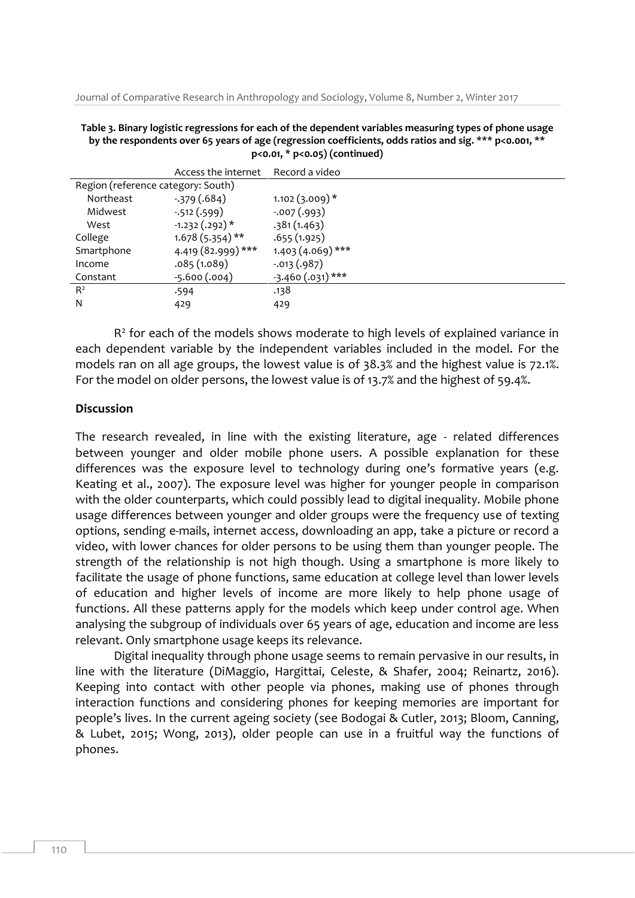Journal of Comparative Research in Anthropology and Sociology, Volume 8, Number 2, Winter 2017

**Table 3. Binary logistic regressions for each of the dependent variables measuring types of phone usage by the respondents over 65 years of age (regression coefficients, odds ratios and sig. \*\*\* p<0.001, \*\* p<0.01, \* p<0.05) (continued)**

| Access the internet                | Record a video     |
|------------------------------------|--------------------|
| Region (reference category: South) |                    |
| $-379(0.684)$                      | $1.102(3.009)*$    |
| $-512(.599)$                       | $-.007(.993)$      |
| $-1.232(.292)*$                    | .381(1.463)        |
| $1.678(5.354)$ **                  | .655(1.925)        |
| 4.419 (82.999) ***                 | $1.403(4.069)$ *** |
| .085(1.089)                        | $-0.013(0.987)$    |
| $-5.600(.004)$                     | $-3.460(.031)$ *** |
| .594                               | .138               |
| 429                                | 429                |
|                                    |                    |

 $R<sup>2</sup>$  for each of the models shows moderate to high levels of explained variance in each dependent variable by the independent variables included in the model. For the models ran on all age groups, the lowest value is of 38.3% and the highest value is 72.1%. For the model on older persons, the lowest value is of 13.7% and the highest of 59.4%.

#### **Discussion**

The research revealed, in line with the existing literature, age - related differences between younger and older mobile phone users. A possible explanation for these differences was the exposure level to technology during one's formative years (e.g. Keating et al., 2007). The exposure level was higher for younger people in comparison with the older counterparts, which could possibly lead to digital inequality. Mobile phone usage differences between younger and older groups were the frequency use of texting options, sending e-mails, internet access, downloading an app, take a picture or record a video, with lower chances for older persons to be using them than younger people. The strength of the relationship is not high though. Using a smartphone is more likely to facilitate the usage of phone functions, same education at college level than lower levels of education and higher levels of income are more likely to help phone usage of functions. All these patterns apply for the models which keep under control age. When analysing the subgroup of individuals over 65 years of age, education and income are less relevant. Only smartphone usage keeps its relevance.

Digital inequality through phone usage seems to remain pervasive in our results, in line with the literature (DiMaggio, Hargittai, Celeste, & Shafer, 2004; Reinartz, 2016). Keeping into contact with other people via phones, making use of phones through interaction functions and considering phones for keeping memories are important for people's lives. In the current ageing society (see Bodogai & Cutler, 2013; Bloom, Canning, & Lubet, 2015; Wong, 2013), older people can use in a fruitful way the functions of phones.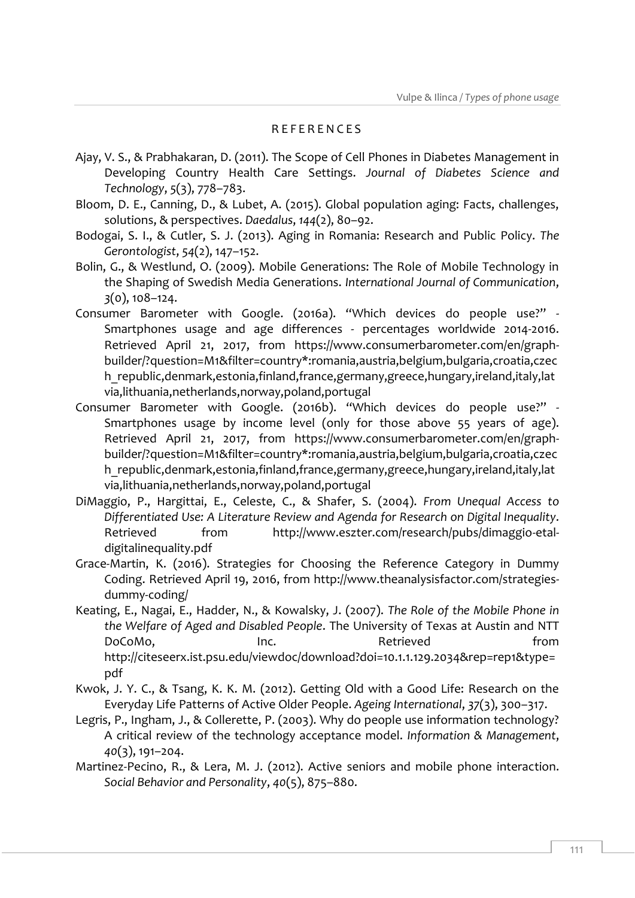#### R E F E R E N C E S

- Ajay, V. S., & Prabhakaran, D. (2011). The Scope of Cell Phones in Diabetes Management in Developing Country Health Care Settings. *Journal of Diabetes Science and Technology*, *5*(3), 778–783.
- Bloom, D. E., Canning, D., & Lubet, A. (2015). Global population aging: Facts, challenges, solutions, & perspectives. *Daedalus*, *144*(2), 80–92.
- Bodogai, S. I., & Cutler, S. J. (2013). Aging in Romania: Research and Public Policy. *The Gerontologist*, *54*(2), 147–152.
- Bolin, G., & Westlund, O. (2009). Mobile Generations: The Role of Mobile Technology in the Shaping of Swedish Media Generations. *International Journal of Communication*, *3*(0), 108–124.
- Consumer Barometer with Google. (2016a). "Which devices do people use?" Smartphones usage and age differences - percentages worldwide 2014-2016. Retrieved April 21, 2017, from https://www.consumerbarometer.com/en/graphbuilder/?question=M1&filter=country\*:romania,austria,belgium,bulgaria,croatia,czec h\_republic,denmark,estonia,finland,france,germany,greece,hungary,ireland,italy,lat via,lithuania,netherlands,norway,poland,portugal
- Consumer Barometer with Google. (2016b). "Which devices do people use?" Smartphones usage by income level (only for those above 55 years of age). Retrieved April 21, 2017, from https://www.consumerbarometer.com/en/graphbuilder/?question=M1&filter=country\*:romania,austria,belgium,bulgaria,croatia,czec h\_republic,denmark,estonia,finland,france,germany,greece,hungary,ireland,italy,lat via,lithuania,netherlands,norway,poland,portugal
- DiMaggio, P., Hargittai, E., Celeste, C., & Shafer, S. (2004). *From Unequal Access to Differentiated Use: A Literature Review and Agenda for Research on Digital Inequality*. Retrieved from http://www.eszter.com/research/pubs/dimaggio-etaldigitalinequality.pdf
- Grace-Martin, K. (2016). Strategies for Choosing the Reference Category in Dummy Coding. Retrieved April 19, 2016, from http://www.theanalysisfactor.com/strategiesdummy-coding/
- Keating, E., Nagai, E., Hadder, N., & Kowalsky, J. (2007). *The Role of the Mobile Phone in the Welfare of Aged and Disabled People*. The University of Texas at Austin and NTT DoCoMo, The Inc. The Retrieved from the from http://citeseerx.ist.psu.edu/viewdoc/download?doi=10.1.1.129.2034&rep=rep1&type= pdf
- Kwok, J. Y. C., & Tsang, K. K. M. (2012). Getting Old with a Good Life: Research on the Everyday Life Patterns of Active Older People. *Ageing International*, *37*(3), 300–317.
- Legris, P., Ingham, J., & Collerette, P. (2003). Why do people use information technology? A critical review of the technology acceptance model. *Information & Management*, *40*(3), 191–204.
- Martinez-Pecino, R., & Lera, M. J. (2012). Active seniors and mobile phone interaction. *Social Behavior and Personality*, *40*(5), 875–880.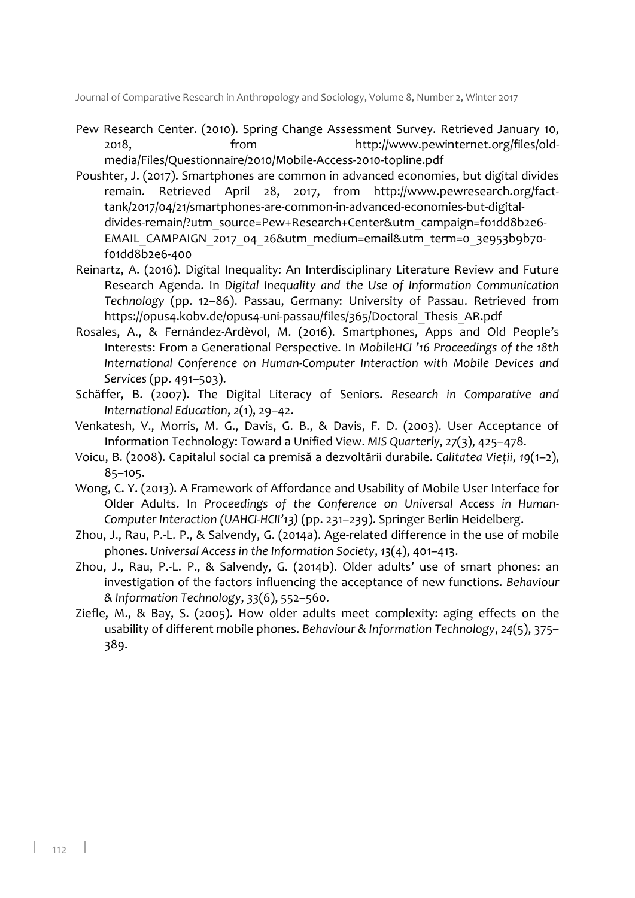Journal of Comparative Research in Anthropology and Sociology, Volume 8, Number 2, Winter 2017

- Pew Research Center. (2010). Spring Change Assessment Survey. Retrieved January 10, 2018, from http://www.pewinternet.org/files/oldmedia/Files/Questionnaire/2010/Mobile-Access-2010-topline.pdf
- Poushter, J. (2017). Smartphones are common in advanced economies, but digital divides remain. Retrieved April 28, 2017, from http://www.pewresearch.org/facttank/2017/04/21/smartphones-are-common-in-advanced-economies-but-digitaldivides-remain/?utm\_source=Pew+Research+Center&utm\_campaign=f01dd8b2e6- EMAIL\_CAMPAIGN\_2017\_04\_26&utm\_medium=email&utm\_term=0\_3e953b9b70f01dd8b2e6-400
- Reinartz, A. (2016). Digital Inequality: An Interdisciplinary Literature Review and Future Research Agenda. In *Digital Inequality and the Use of Information Communication Technology* (pp. 12–86). Passau, Germany: University of Passau. Retrieved from https://opus4.kobv.de/opus4-uni-passau/files/365/Doctoral\_Thesis\_AR.pdf
- Rosales, A., & Fernández-Ardèvol, M. (2016). Smartphones, Apps and Old People's Interests: From a Generational Perspective. In *MobileHCI '16 Proceedings of the 18th International Conference on Human-Computer Interaction with Mobile Devices and Services* (pp. 491–503).
- Schäffer, B. (2007). The Digital Literacy of Seniors. *Research in Comparative and International Education*, *2*(1), 29–42.
- Venkatesh, V., Morris, M. G., Davis, G. B., & Davis, F. D. (2003). User Acceptance of Information Technology: Toward a Unified View. *MIS Quarterly*, *27*(3), 425–478.
- Voicu, B. (2008). Capitalul social ca premisă a dezvoltării durabile. *Calitatea Vieții*, *19*(1–2), 85–105.
- Wong, C. Y. (2013). A Framework of Affordance and Usability of Mobile User Interface for Older Adults. In *Proceedings of the Conference on Universal Access in Human-Computer Interaction (UAHCI-HCII'13)* (pp. 231–239). Springer Berlin Heidelberg.
- Zhou, J., Rau, P.-L. P., & Salvendy, G. (2014a). Age-related difference in the use of mobile phones. *Universal Access in the Information Society*, *13*(4), 401–413.
- Zhou, J., Rau, P.-L. P., & Salvendy, G. (2014b). Older adults' use of smart phones: an investigation of the factors influencing the acceptance of new functions. *Behaviour & Information Technology*, *33*(6), 552–560.
- Ziefle, M., & Bay, S. (2005). How older adults meet complexity: aging effects on the usability of different mobile phones. *Behaviour & Information Technology*, *24*(5), 375– 389.